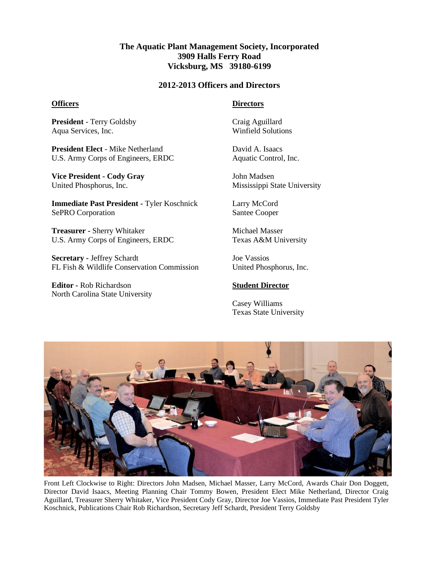# **The Aquatic Plant Management Society, Incorporated 3909 Halls Ferry Road Vicksburg, MS 39180-6199**

### **2012-2013 Officers and Directors**

#### **Officers**

**President** - Terry Goldsby Aqua Services, Inc.

**President Elect** - Mike Netherland U.S. Army Corps of Engineers, ERDC

**Vice President - Cody Gray** United Phosphorus, Inc.

**Immediate Past President -** Tyler Koschnick SePRO Corporation

**Treasurer -** Sherry Whitaker U.S. Army Corps of Engineers, ERDC

**Secretary -** Jeffrey Schardt FL Fish & Wildlife Conservation Commission

**Editor -** Rob Richardson North Carolina State University

## **Directors**

Craig Aguillard Winfield Solutions

David A. Isaacs Aquatic Control, Inc.

John Madsen Mississippi State University

Larry McCord Santee Cooper

Michael Masser Texas A&M University

Joe Vassios United Phosphorus, Inc.

#### **Student Director**

Casey Williams Texas State University



Front Left Clockwise to Right: Directors John Madsen, Michael Masser, Larry McCord, Awards Chair Don Doggett, Director David Isaacs, Meeting Planning Chair Tommy Bowen, President Elect Mike Netherland, Director Craig Aguillard, Treasurer Sherry Whitaker, Vice President Cody Gray, Director Joe Vassios, Immediate Past President Tyler Koschnick, Publications Chair Rob Richardson, Secretary Jeff Schardt, President Terry Goldsby